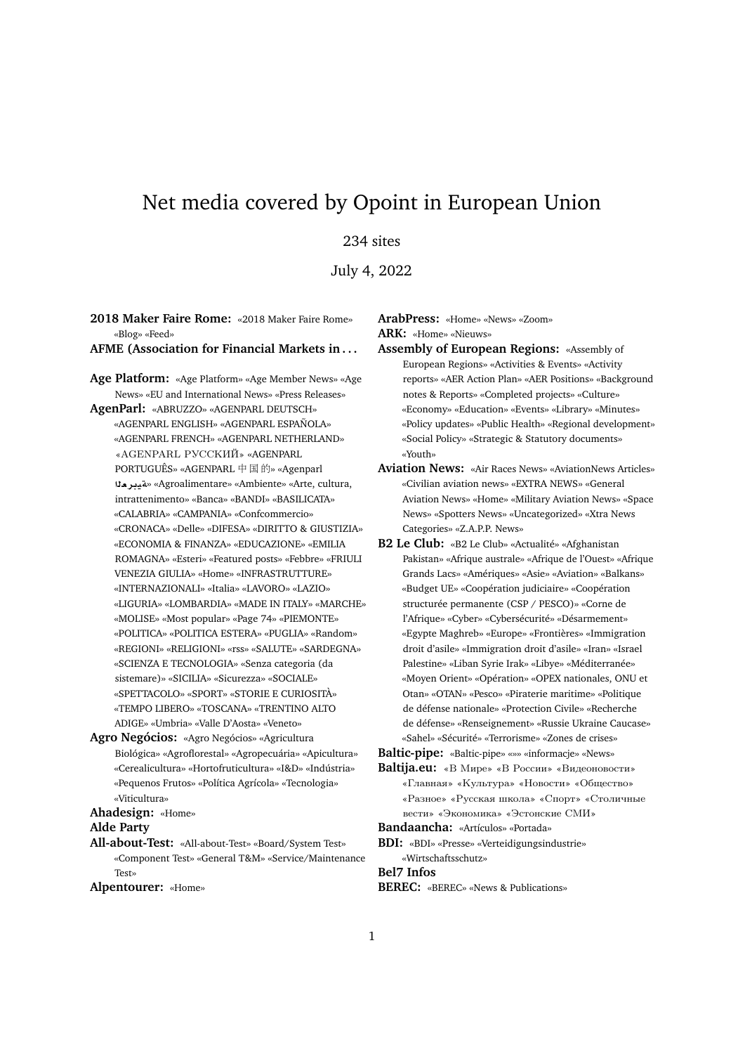# Net media covered by Opoint in European Union

# 234 sites

July 4, 2022

**2018 Maker Faire Rome:** «2018 Maker Faire Rome» «Blog» «Feed»

# **AFME (Association for Financial Markets in . . .**

**Age Platform:** «Age Platform» «Age Member News» «Age News» «EU and International News» «Press Releases» **AgenParl:** «ABRUZZO» «AGENPARL DEUTSCH» «AGENPARL ENGLISH» «AGENPARL ESPAÑOLA» «AGENPARL FRENCH» «AGENPARL NETHERLAND» «AGENPARL PУССКИЙ» «AGENPARL PORTUGUÊS» «AGENPARL 中国的» «Agenparl **`ryT**» «Agroalimentare» «Ambiente» «Arte, cultura, intrattenimento» «Banca» «BANDI» «BASILICATA» «CALABRIA» «CAMPANIA» «Confcommercio» «CRONACA» «Delle» «DIFESA» «DIRITTO & GIUSTIZIA» «ECONOMIA & FINANZA» «EDUCAZIONE» «EMILIA ROMAGNA» «Esteri» «Featured posts» «Febbre» «FRIULI VENEZIA GIULIA» «Home» «INFRASTRUTTURE» «INTERNAZIONALI» «Italia» «LAVORO» «LAZIO» «LIGURIA» «LOMBARDIA» «MADE IN ITALY» «MARCHE» «MOLISE» «Most popular» «Page 74» «PIEMONTE» «POLITICA» «POLITICA ESTERA» «PUGLIA» «Random» «REGIONI» «RELIGIONI» «rss» «SALUTE» «SARDEGNA» «SCIENZA E TECNOLOGIA» «Senza categoria (da sistemare)» «SICILIA» «Sicurezza» «SOCIALE» «SPETTACOLO» «SPORT» «STORIE E CURIOSITÀ» «TEMPO LIBERO» «TOSCANA» «TRENTINO ALTO ADIGE» «Umbria» «Valle D'Aosta» «Veneto»

**Agro Negócios:** «Agro Negócios» «Agricultura Biológica» «Agroflorestal» «Agropecuária» «Apicultura» «Cerealicultura» «Hortofruticultura» «I&D» «Indústria» «Pequenos Frutos» «Política Agrícola» «Tecnologia» «Viticultura»

**Ahadesign:** «Home»

#### **Alde Party**

**All-about-Test:** «All-about-Test» «Board/System Test» «Component Test» «General T&M» «Service/Maintenance Test»

**Alpentourer:** «Home»

**ArabPress:** «Home» «News» «Zoom» **ARK:** «Home» «Nieuws»

- **Assembly of European Regions:** «Assembly of European Regions» «Activities & Events» «Activity reports» «AER Action Plan» «AER Positions» «Background notes & Reports» «Completed projects» «Culture» «Economy» «Education» «Events» «Library» «Minutes» «Policy updates» «Public Health» «Regional development» «Social Policy» «Strategic & Statutory documents» «Youth»
- **Aviation News:** «Air Races News» «AviationNews Articles» «Civilian aviation news» «EXTRA NEWS» «General Aviation News» «Home» «Military Aviation News» «Space News» «Spotters News» «Uncategorized» «Xtra News Categories» «Z.A.P.P. News»
- **B2 Le Club:** «B2 Le Club» «Actualité» «Afghanistan Pakistan» «Afrique australe» «Afrique de l'Ouest» «Afrique Grands Lacs» «Amériques» «Asie» «Aviation» «Balkans» «Budget UE» «Coopération judiciaire» «Coopération structurée permanente (CSP / PESCO)» «Corne de l'Afrique» «Cyber» «Cybersécurité» «Désarmement» «Egypte Maghreb» «Europe» «Frontières» «Immigration droit d'asile» «Immigration droit d'asile» «Iran» «Israel Palestine» «Liban Syrie Irak» «Libye» «Méditerranée» «Moyen Orient» «Opération» «OPEX nationales, ONU et Otan» «OTAN» «Pesco» «Piraterie maritime» «Politique de défense nationale» «Protection Civile» «Recherche de défense» «Renseignement» «Russie Ukraine Caucase» «Sahel» «Sécurité» «Terrorisme» «Zones de crises»

**Baltic-pipe:** «Baltic-pipe» «»» «informacje» «News»

**Baltija.eu:** «В Мире» «В России» «Видеоновости» «Главная» «Культура» «Новости» «Общество» «Разное» «Русская школа» «Спорт» «Столичные вести» «Экономика» «Эстонские СМИ»

**Bandaancha:** «Artículos» «Portada»

**BDI:** «BDI» «Presse» «Verteidigungsindustrie» «Wirtschaftsschutz»

**Bel7 Infos**

**BEREC:** «BEREC» «News & Publications»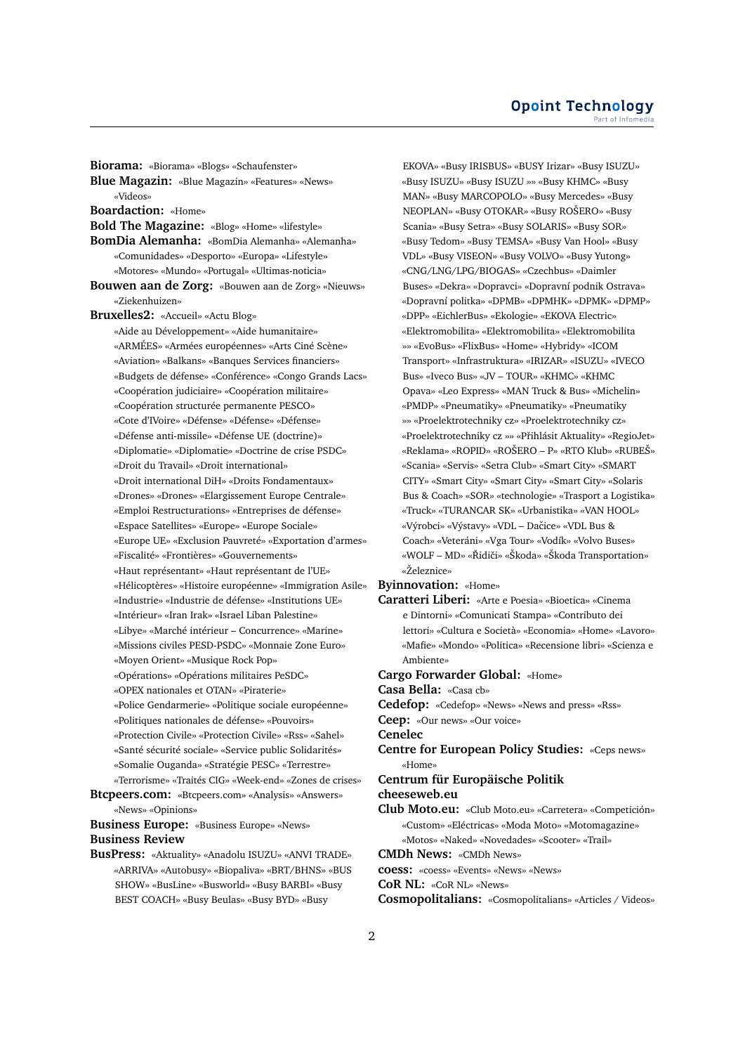**Biorama:** «Biorama» «Blogs» «Schaufenster» **Blue Magazin:** «Blue Magazin» «Features» «News» «Videos» **Boardaction:** «Home» **Bold The Magazine:** «Blog» «Home» «lifestyle» **BomDia Alemanha:** «BomDia Alemanha» «Alemanha» «Comunidades» «Desporto» «Europa» «Lifestyle» «Motores» «Mundo» «Portugal» «Ultimas-noticia» **Bouwen aan de Zorg:** «Bouwen aan de Zorg» «Nieuws» «Ziekenhuizen» **Bruxelles2:** «Accueil» «Actu Blog» «Aide au Développement» «Aide humanitaire» «ARMÉES» «Armées européennes» «Arts Ciné Scène» «Aviation» «Balkans» «Banques Services financiers» «Budgets de défense» «Conférence» «Congo Grands Lacs» «Coopération judiciaire» «Coopération militaire» «Coopération structurée permanente PESCO» «Cote d'IVoire» «Défense» «Défense» «Défense» «Défense anti-missile» «Défense UE (doctrine)» «Diplomatie» «Diplomatie» «Doctrine de crise PSDC» «Droit du Travail» «Droit international» «Droit international DiH» «Droits Fondamentaux» «Drones» «Drones» «Elargissement Europe Centrale» «Emploi Restructurations» «Entreprises de défense» «Espace Satellites» «Europe» «Europe Sociale» «Europe UE» «Exclusion Pauvreté» «Exportation d'armes» «Fiscalité» «Frontières» «Gouvernements» «Haut représentant» «Haut représentant de l'UE» «Hélicoptères» «Histoire européenne» «Immigration Asile» «Industrie» «Industrie de défense» «Institutions UE» «Intérieur» «Iran Irak» «Israel Liban Palestine» «Libye» «Marché intérieur – Concurrence» «Marine» «Missions civiles PESD-PSDC» «Monnaie Zone Euro» «Moyen Orient» «Musique Rock Pop» «Opérations» «Opérations militaires PeSDC» «OPEX nationales et OTAN» «Piraterie» «Police Gendarmerie» «Politique sociale européenne» «Politiques nationales de défense» «Pouvoirs» «Protection Civile» «Protection Civile» «Rss» «Sahel» «Santé sécurité sociale» «Service public Solidarités» «Somalie Ouganda» «Stratégie PESC» «Terrestre» «Terrorisme» «Traités CIG» «Week-end» «Zones de crises» **Btcpeers.com:** «Btcpeers.com» «Analysis» «Answers» «News» «Opinions»

**Business Europe:** «Business Europe» «News» **Business Review**

**BusPress:** «Aktuality» «Anadolu ISUZU» «ANVI TRADE» «ARRIVA» «Autobusy» «Biopaliva» «BRT/BHNS» «BUS SHOW» «BusLine» «Busworld» «Busy BARBI» «Busy BEST COACH» «Busy Beulas» «Busy BYD» «Busy

EKOVA» «Busy IRISBUS» «BUSY Irizar» «Busy ISUZU» «Busy ISUZU» «Busy ISUZU »» «Busy KHMC» «Busy MAN» «Busy MARCOPOLO» «Busy Mercedes» «Busy NEOPLAN» «Busy OTOKAR» «Busy ROŠERO» «Busy Scania» «Busy Setra» «Busy SOLARIS» «Busy SOR» «Busy Tedom» «Busy TEMSA» «Busy Van Hool» «Busy VDL» «Busy VISEON» «Busy VOLVO» «Busy Yutong» «CNG/LNG/LPG/BIOGAS» «Czechbus» «Daimler Buses» «Dekra» «Dopravci» «Dopravní podnik Ostrava» «Dopravní politka» «DPMB» «DPMHK» «DPMK» «DPMP» «DPP» «EichlerBus» «Ekologie» «EKOVA Electric» «Elektromobilita» «Elektromobilita» «Elektromobilita »» «EvoBus» «FlixBus» «Home» «Hybridy» «ICOM Transport» «Infrastruktura» «IRIZAR» «ISUZU» «IVECO Bus» «Iveco Bus» «JV – TOUR» «KHMC» «KHMC Opava» «Leo Express» «MAN Truck & Bus» «Michelin» «PMDP» «Pneumatiky» «Pneumatiky» «Pneumatiky »» «Proelektrotechniky cz» «Proelektrotechniky cz» «Proelektrotechniky cz »» «Pˇrihlásit Aktuality» «RegioJet» «Reklama» «ROPID» «ROŠERO – P» «RTO Klub» «RUBEŠ» «Scania» «Servis» «Setra Club» «Smart City» «SMART CITY» «Smart City» «Smart City» «Smart City» «Solaris Bus & Coach» «SOR» «technologie» «Trasport a Logistika» «Truck» «TURANCAR SK» «Urbanistika» «VAN HOOL» «Výrobci» «Výstavy» «VDL – Daˇcice» «VDL Bus & Coach» «Veteráni» «Vga Tour» «Vodík» «Volvo Buses» «WOLF – MD» «Řidiči» «Škoda» «Škoda Transportation» «Železnice»

#### **Byinnovation:** «Home»

**Caratteri Liberi:** «Arte e Poesia» «Bioetica» «Cinema e Dintorni» «Comunicati Stampa» «Contributo dei lettori» «Cultura e Società» «Economia» «Home» «Lavoro» «Mafie» «Mondo» «Politica» «Recensione libri» «Scienza e Ambiente»

**Cargo Forwarder Global:** «Home»

**Casa Bella:** «Casa cb»

**Cedefop:** «Cedefop» «News» «News and press» «Rss»

**Ceep:** «Our news» «Our voice»

**Cenelec**

**Centre for European Policy Studies:** «Ceps news» «Home»

**Centrum für Europäische Politik**

#### **cheeseweb.eu**

- **Club Moto.eu:** «Club Moto.eu» «Carretera» «Competición» «Custom» «Eléctricas» «Moda Moto» «Motomagazine» «Motos» «Naked» «Novedades» «Scooter» «Trail»
- **CMDh News:** «CMDh News»

**coess:** «coess» «Events» «News» «News»

**CoR NL:** «CoR NL» «News»

**Cosmopolitalians:** «Cosmopolitalians» «Articles / Videos»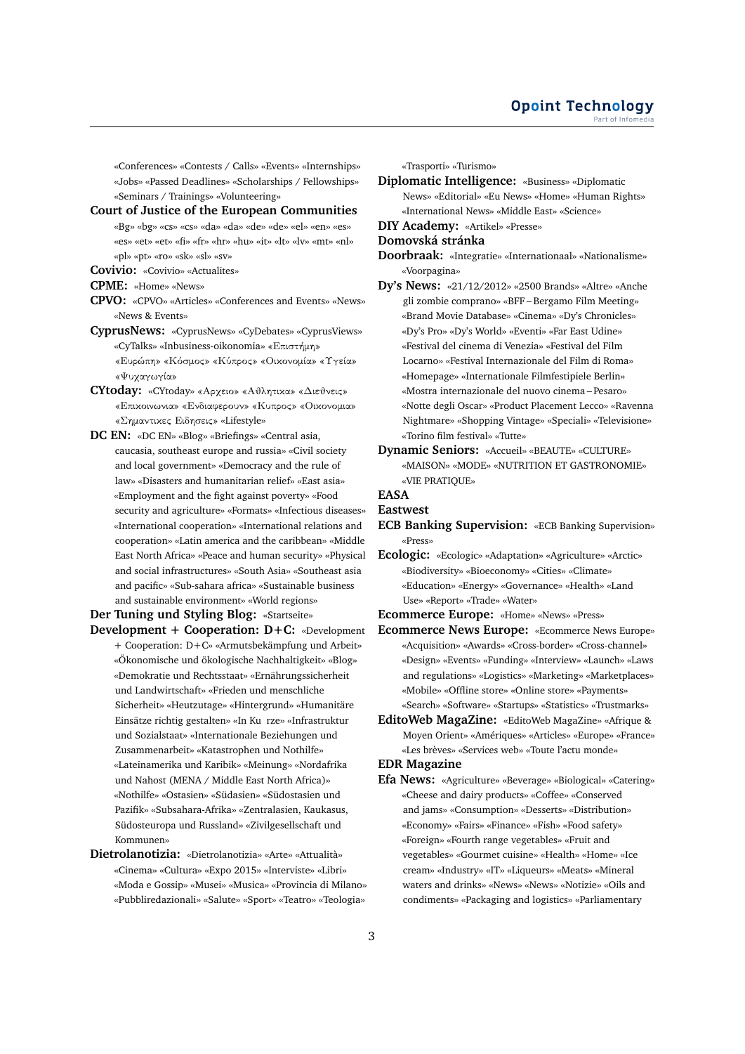«Conferences» «Contests / Calls» «Events» «Internships» «Jobs» «Passed Deadlines» «Scholarships / Fellowships» «Seminars / Trainings» «Volunteering»

**Court of Justice of the European Communities** «Bg» «bg» «cs» «cs» «da» «da» «de» «de» «el» «en» «es» «es» «et» «et» «fi» «fr» «hr» «hu» «it» «lt» «lv» «mt» «nl» «pl» «pt» «ro» «sk» «sl» «sv»

**Covivio:** «Covivio» «Actualites»

**CPME:** «Home» «News»

- **CPVO:** «CPVO» «Articles» «Conferences and Events» «News» «News & Events»
- **CyprusNews:** «CyprusNews» «CyDebates» «CyprusViews» «CyTalks» «Inbusiness-oikonomia» «Επιστήμη» «Ευρώπη» «Κόσμος» «Κύπρος» «Οικονομία» «Υγεία» «Ψυχαγωγία»
- **CYtoday:** «CYtoday» «Αρχειο» «Αθλητικα» «Διεθνεις» «Επικοινωνια» «Ενδιαφερουν» «Κυπρος» «Οικονομια» «Σημαντικες Ειδησεις» «Lifestyle»
- **DC EN:** «DC EN» «Blog» «Briefings» «Central asia, caucasia, southeast europe and russia» «Civil society and local government» «Democracy and the rule of law» «Disasters and humanitarian relief» «East asia» «Employment and the fight against poverty» «Food security and agriculture» «Formats» «Infectious diseases» «International cooperation» «International relations and cooperation» «Latin america and the caribbean» «Middle East North Africa» «Peace and human security» «Physical and social infrastructures» «South Asia» «Southeast asia and pacific» «Sub-sahara africa» «Sustainable business and sustainable environment» «World regions»

**Der Tuning und Styling Blog:** «Startseite» **Development + Cooperation: D+C:** «Development

- + Cooperation: D+C» «Armutsbekämpfung und Arbeit» «Ökonomische und ökologische Nachhaltigkeit» «Blog» «Demokratie und Rechtsstaat» «Ernährungssicherheit und Landwirtschaft» «Frieden und menschliche Sicherheit» «Heutzutage» «Hintergrund» «Humanitäre Einsätze richtig gestalten» «In Ku rze» «Infrastruktur und Sozialstaat» «Internationale Beziehungen und Zusammenarbeit» «Katastrophen und Nothilfe» «Lateinamerika und Karibik» «Meinung» «Nordafrika und Nahost (MENA / Middle East North Africa)» «Nothilfe» «Ostasien» «Südasien» «Südostasien und Pazifik» «Subsahara-Afrika» «Zentralasien, Kaukasus, Südosteuropa und Russland» «Zivilgesellschaft und Kommunen»
- **Dietrolanotizia:** «Dietrolanotizia» «Arte» «Attualità» «Cinema» «Cultura» «Expo 2015» «Interviste» «Libri» «Moda e Gossip» «Musei» «Musica» «Provincia di Milano» «Pubbliredazionali» «Salute» «Sport» «Teatro» «Teologia»

«Trasporti» «Turismo»

**Diplomatic Intelligence:** «Business» «Diplomatic News» «Editorial» «Eu News» «Home» «Human Rights» «International News» «Middle East» «Science»

**DIY Academy:** «Artikel» «Presse»

**Domovská stránka**

- **Doorbraak:** «Integratie» «Internationaal» «Nationalisme» «Voorpagina»
- **Dy's News:** «21/12/2012» «2500 Brands» «Altre» «Anche gli zombie comprano» «BFF – Bergamo Film Meeting» «Brand Movie Database» «Cinema» «Dy's Chronicles» «Dy's Pro» «Dy's World» «Eventi» «Far East Udine» «Festival del cinema di Venezia» «Festival del Film Locarno» «Festival Internazionale del Film di Roma» «Homepage» «Internationale Filmfestipiele Berlin» «Mostra internazionale del nuovo cinema – Pesaro» «Notte degli Oscar» «Product Placement Lecco» «Ravenna Nightmare» «Shopping Vintage» «Speciali» «Televisione» «Torino film festival» «Tutte»
- **Dynamic Seniors:** «Accueil» «BEAUTE» «CULTURE» «MAISON» «MODE» «NUTRITION ET GASTRONOMIE» «VIE PRATIQUE»

# **EASA**

#### **Eastwest**

- **ECB Banking Supervision:** «ECB Banking Supervision» «Press»
- **Ecologic:** «Ecologic» «Adaptation» «Agriculture» «Arctic» «Biodiversity» «Bioeconomy» «Cities» «Climate» «Education» «Energy» «Governance» «Health» «Land Use» «Report» «Trade» «Water»

**Ecommerce Europe:** «Home» «News» «Press»

- **Ecommerce News Europe:** «Ecommerce News Europe» «Acquisition» «Awards» «Cross-border» «Cross-channel» «Design» «Events» «Funding» «Interview» «Launch» «Laws and regulations» «Logistics» «Marketing» «Marketplaces» «Mobile» «Offline store» «Online store» «Payments» «Search» «Software» «Startups» «Statistics» «Trustmarks»
- **EditoWeb MagaZine:** «EditoWeb MagaZine» «Afrique & Moyen Orient» «Amériques» «Articles» «Europe» «France» «Les brèves» «Services web» «Toute l'actu monde»

## **EDR Magazine**

**Efa News:** «Agriculture» «Beverage» «Biological» «Catering» «Cheese and dairy products» «Coffee» «Conserved and jams» «Consumption» «Desserts» «Distribution» «Economy» «Fairs» «Finance» «Fish» «Food safety» «Foreign» «Fourth range vegetables» «Fruit and vegetables» «Gourmet cuisine» «Health» «Home» «Ice cream» «Industry» «IT» «Liqueurs» «Meats» «Mineral waters and drinks» «News» «News» «Notizie» «Oils and condiments» «Packaging and logistics» «Parliamentary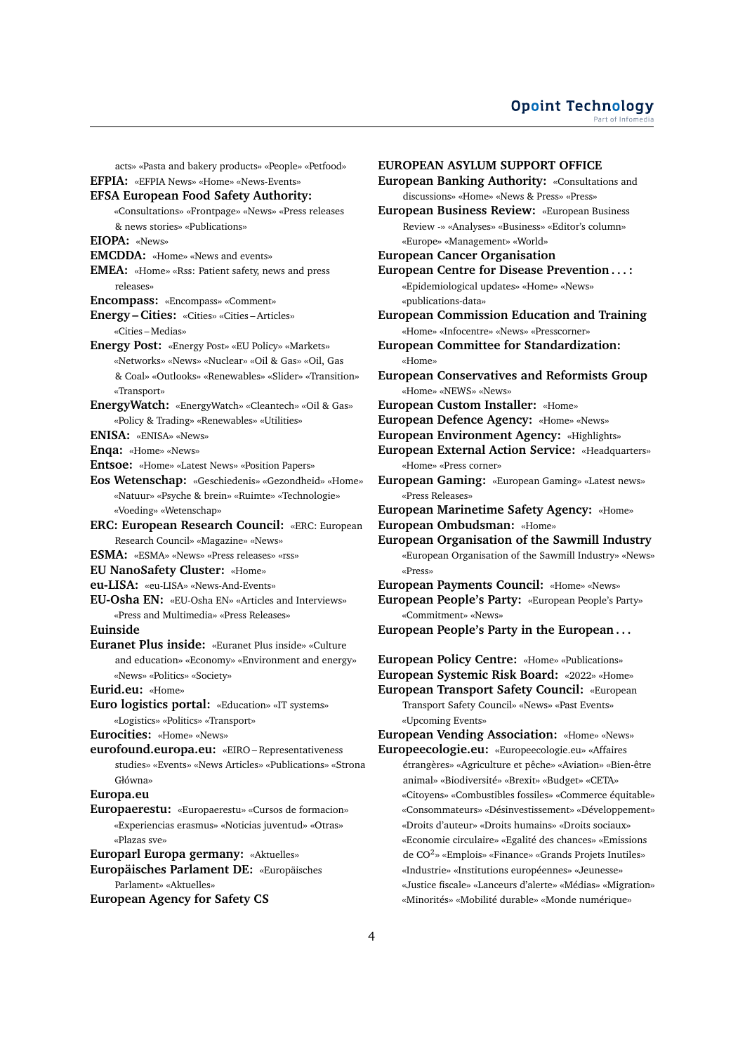acts» «Pasta and bakery products» «People» «Petfood» **EFPIA:** «EFPIA News» «Home» «News-Events» **EFSA European Food Safety Authority:** «Consultations» «Frontpage» «News» «Press releases & news stories» «Publications» **EIOPA:** «News» **EMCDDA:** «Home» «News and events» **EMEA:** «Home» «Rss: Patient safety, news and press releases» **Encompass:** «Encompass» «Comment» **Energy – Cities:** «Cities» «Cities – Articles» «Cities – Medias» **Energy Post:** «Energy Post» «EU Policy» «Markets» «Networks» «News» «Nuclear» «Oil & Gas» «Oil, Gas & Coal» «Outlooks» «Renewables» «Slider» «Transition» «Transport» **EnergyWatch:** «EnergyWatch» «Cleantech» «Oil & Gas» «Policy & Trading» «Renewables» «Utilities» **ENISA:** «ENISA» «News» **Enqa:** «Home» «News» **Entsoe:** «Home» «Latest News» «Position Papers» **Eos Wetenschap:** «Geschiedenis» «Gezondheid» «Home» «Natuur» «Psyche & brein» «Ruimte» «Technologie» «Voeding» «Wetenschap» **ERC: European Research Council:** «ERC: European Research Council» «Magazine» «News» **ESMA:** «ESMA» «News» «Press releases» «rss» **EU NanoSafety Cluster:** «Home» **eu-LISA:** «eu-LISA» «News-And-Events» **EU-Osha EN:** «EU-Osha EN» «Articles and Interviews» «Press and Multimedia» «Press Releases» **Euinside Euranet Plus inside:** «Euranet Plus inside» «Culture and education» «Economy» «Environment and energy» «News» «Politics» «Society» **Eurid.eu:** «Home» **Euro logistics portal:** «Education» «IT systems» «Logistics» «Politics» «Transport» **Eurocities:** «Home» «News» **eurofound.europa.eu:** «EIRO – Representativeness studies» «Events» «News Articles» «Publications» «Strona Główna» **Europa.eu Europaerestu:** «Europaerestu» «Cursos de formacion» «Experiencias erasmus» «Noticias juventud» «Otras» «Plazas sve» **Europarl Europa germany:** «Aktuelles» **Europäisches Parlament DE:** «Europäisches Parlament» «Aktuelles» **European Agency for Safety CS**

**EUROPEAN ASYLUM SUPPORT OFFICE European Banking Authority:** «Consultations and discussions» «Home» «News & Press» «Press» **European Business Review:** «European Business Review -» «Analyses» «Business» «Editor's column» «Europe» «Management» «World» **European Cancer Organisation European Centre for Disease Prevention . . . :** «Epidemiological updates» «Home» «News» «publications-data» **European Commission Education and Training** «Home» «Infocentre» «News» «Presscorner» **European Committee for Standardization:** «Home» **European Conservatives and Reformists Group** «Home» «NEWS» «News» **European Custom Installer:** «Home» **European Defence Agency:** «Home» «News» **European Environment Agency:** «Highlights» **European External Action Service:** «Headquarters» «Home» «Press corner» **European Gaming:** «European Gaming» «Latest news» «Press Releases» **European Marinetime Safety Agency:** «Home» **European Ombudsman:** «Home» **European Organisation of the Sawmill Industry** «European Organisation of the Sawmill Industry» «News» «Press» **European Payments Council:** «Home» «News» **European People's Party:** «European People's Party» «Commitment» «News» **European People's Party in the European . . . European Policy Centre:** «Home» «Publications» **European Systemic Risk Board:** «2022» «Home» **European Transport Safety Council:** «European Transport Safety Council» «News» «Past Events» «Upcoming Events» **European Vending Association:** «Home» «News» **Europeecologie.eu:** «Europeecologie.eu» «Affaires étrangères» «Agriculture et pêche» «Aviation» «Bien-être animal» «Biodiversité» «Brexit» «Budget» «CETA» «Citoyens» «Combustibles fossiles» «Commerce équitable» «Consommateurs» «Désinvestissement» «Développement» «Droits d'auteur» «Droits humains» «Droits sociaux» «Economie circulaire» «Egalité des chances» «Emissions de CO<sup>2</sup> » «Emplois» «Finance» «Grands Projets Inutiles» «Industrie» «Institutions européennes» «Jeunesse» «Justice fiscale» «Lanceurs d'alerte» «Médias» «Migration» «Minorités» «Mobilité durable» «Monde numérique»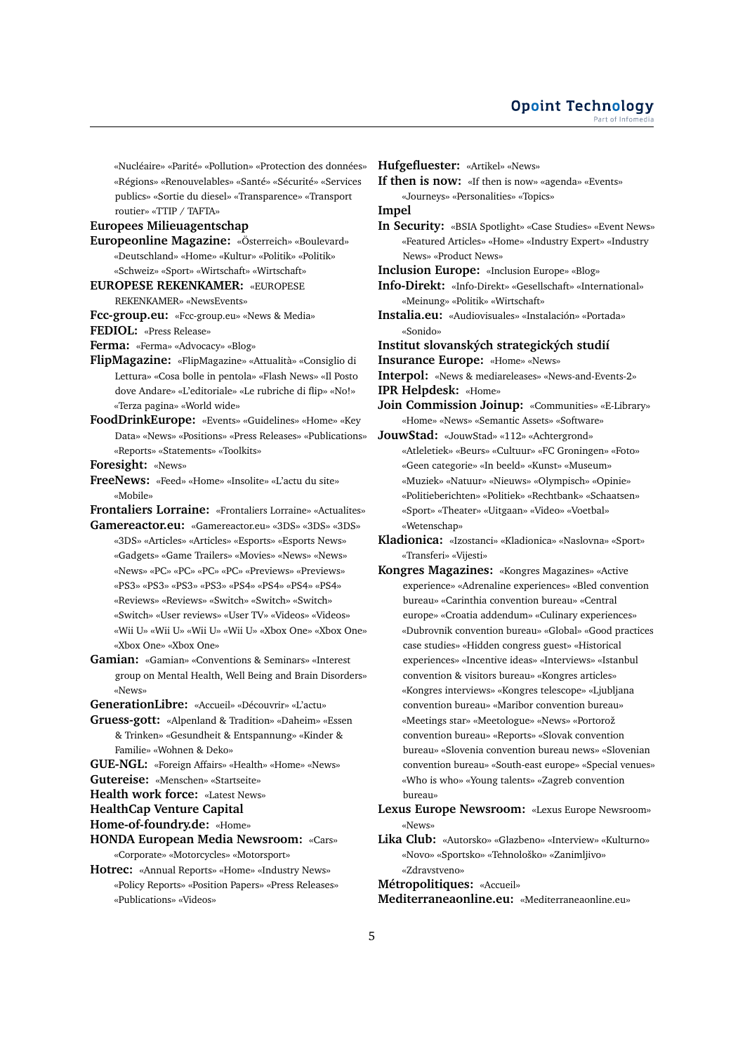«Nucléaire» «Parité» «Pollution» «Protection des données» «Régions» «Renouvelables» «Santé» «Sécurité» «Services publics» «Sortie du diesel» «Transparence» «Transport routier» «TTIP / TAFTA»

## **Europees Milieuagentschap**

- **Europeonline Magazine:** «Österreich» «Boulevard» «Deutschland» «Home» «Kultur» «Politik» «Politik» «Schweiz» «Sport» «Wirtschaft» «Wirtschaft»
- **EUROPESE REKENKAMER:** «EUROPESE

#### REKENKAMER» «NewsEvents»

- **Fcc-group.eu:** «Fcc-group.eu» «News & Media»
- **FEDIOL:** «Press Release»

**Ferma:** «Ferma» «Advocacy» «Blog»

- **FlipMagazine:** «FlipMagazine» «Attualità» «Consiglio di Lettura» «Cosa bolle in pentola» «Flash News» «Il Posto dove Andare» «L'editoriale» «Le rubriche di flip» «No!» «Terza pagina» «World wide»
- **FoodDrinkEurope:** «Events» «Guidelines» «Home» «Key Data» «News» «Positions» «Press Releases» «Publications» «Reports» «Statements» «Toolkits»
- **Foresight:** «News»
- **FreeNews:** «Feed» «Home» «Insolite» «L'actu du site» «Mobile»

**Frontaliers Lorraine:** «Frontaliers Lorraine» «Actualites»

- **Gamereactor.eu:** «Gamereactor.eu» «3DS» «3DS» «3DS» «3DS» «Articles» «Articles» «Esports» «Esports News» «Gadgets» «Game Trailers» «Movies» «News» «News» «News» «PC» «PC» «PC» «PC» «Previews» «Previews» «PS3» «PS3» «PS3» «PS3» «PS4» «PS4» «PS4» «PS4» «Reviews» «Reviews» «Switch» «Switch» «Switch» «Switch» «User reviews» «User TV» «Videos» «Videos» «Wii U» «Wii U» «Wii U» «Wii U» «Xbox One» «Xbox One» «Xbox One» «Xbox One»
- **Gamian:** «Gamian» «Conventions & Seminars» «Interest group on Mental Health, Well Being and Brain Disorders» «News»
- **GenerationLibre:** «Accueil» «Découvrir» «L'actu»
- **Gruess-gott:** «Alpenland & Tradition» «Daheim» «Essen & Trinken» «Gesundheit & Entspannung» «Kinder & Familie» «Wohnen & Deko»
- **GUE-NGL:** «Foreign Affairs» «Health» «Home» «News»
- **Gutereise:** «Menschen» «Startseite»
- **Health work force:** «Latest News»

**HealthCap Venture Capital**

**Home-of-foundry.de:** «Home»

- **HONDA European Media Newsroom:** «Cars» «Corporate» «Motorcycles» «Motorsport»
- **Hotrec:** «Annual Reports» «Home» «Industry News» «Policy Reports» «Position Papers» «Press Releases» «Publications» «Videos»

**Hufgefluester:** «Artikel» «News»

**If then is now:** «If then is now» «agenda» «Events»

«Journeys» «Personalities» «Topics»

**Impel**

- **In Security:** «BSIA Spotlight» «Case Studies» «Event News» «Featured Articles» «Home» «Industry Expert» «Industry News» «Product News»
- **Inclusion Europe:** «Inclusion Europe» «Blog»
- **Info-Direkt:** «Info-Direkt» «Gesellschaft» «International» «Meinung» «Politik» «Wirtschaft»
- **Instalia.eu:** «Audiovisuales» «Instalación» «Portada» «Sonido»
- **Institut slovanských strategických studií**
- **Insurance Europe:** «Home» «News»

**Interpol:** «News & mediareleases» «News-and-Events-2»

- **IPR Helpdesk:** «Home»
- **Join Commission Joinup:** «Communities» «E-Library» «Home» «News» «Semantic Assets» «Software»
- **JouwStad:** «JouwStad» «112» «Achtergrond» «Atleletiek» «Beurs» «Cultuur» «FC Groningen» «Foto» «Geen categorie» «In beeld» «Kunst» «Museum» «Muziek» «Natuur» «Nieuws» «Olympisch» «Opinie» «Politieberichten» «Politiek» «Rechtbank» «Schaatsen» «Sport» «Theater» «Uitgaan» «Video» «Voetbal» «Wetenschap»
- **Kladionica:** «Izostanci» «Kladionica» «Naslovna» «Sport» «Transferi» «Vijesti»
- **Kongres Magazines:** «Kongres Magazines» «Active experience» «Adrenaline experiences» «Bled convention bureau» «Carinthia convention bureau» «Central europe» «Croatia addendum» «Culinary experiences» «Dubrovnik convention bureau» «Global» «Good practices case studies» «Hidden congress guest» «Historical experiences» «Incentive ideas» «Interviews» «Istanbul convention & visitors bureau» «Kongres articles» «Kongres interviews» «Kongres telescope» «Ljubljana convention bureau» «Maribor convention bureau» «Meetings star» «Meetologue» «News» «Portorož convention bureau» «Reports» «Slovak convention bureau» «Slovenia convention bureau news» «Slovenian convention bureau» «South-east europe» «Special venues» «Who is who» «Young talents» «Zagreb convention bureau»
- **Lexus Europe Newsroom:** «Lexus Europe Newsroom» «News»
- **Lika Club:** «Autorsko» «Glazbeno» «Interview» «Kulturno» «Novo» «Sportsko» «Tehnološko» «Zanimljivo» «Zdravstveno»

**Métropolitiques:** «Accueil»

**Mediterraneaonline.eu:** «Mediterraneaonline.eu»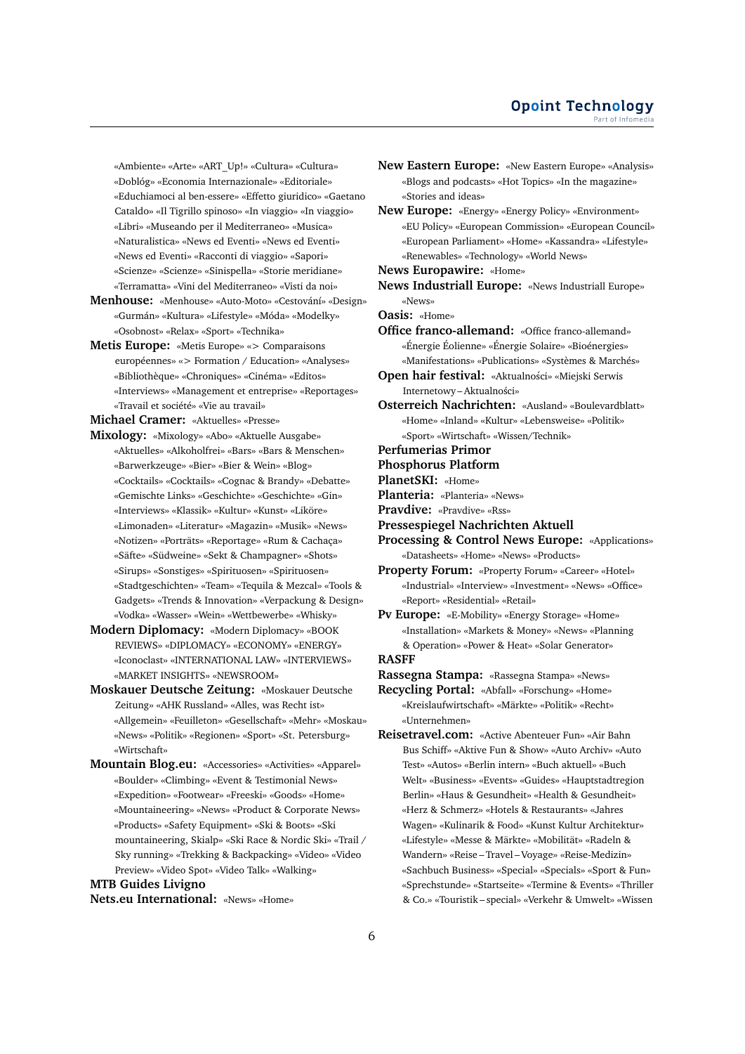«Ambiente» «Arte» «ART\_Up!» «Cultura» «Cultura» «Doblóg» «Economia Internazionale» «Editoriale» «Educhiamoci al ben-essere» «Effetto giuridico» «Gaetano Cataldo» «Il Tigrillo spinoso» «In viaggio» «In viaggio» «Libri» «Museando per il Mediterraneo» «Musica» «Naturalistica» «News ed Eventi» «News ed Eventi» «News ed Eventi» «Racconti di viaggio» «Sapori» «Scienze» «Scienze» «Sinispella» «Storie meridiane» «Terramatta» «Vini del Mediterraneo» «Visti da noi»

- **Menhouse:** «Menhouse» «Auto-Moto» «Cestování» «Design» «Gurmán» «Kultura» «Lifestyle» «Móda» «Modelky» «Osobnost» «Relax» «Sport» «Technika»
- **Metis Europe:** «Metis Europe» «> Comparaisons européennes» «> Formation / Education» «Analyses» «Bibliothèque» «Chroniques» «Cinéma» «Editos» «Interviews» «Management et entreprise» «Reportages» «Travail et société» «Vie au travail»

**Michael Cramer:** «Aktuelles» «Presse»

- **Mixology:** «Mixology» «Abo» «Aktuelle Ausgabe» «Aktuelles» «Alkoholfrei» «Bars» «Bars & Menschen» «Barwerkzeuge» «Bier» «Bier & Wein» «Blog» «Cocktails» «Cocktails» «Cognac & Brandy» «Debatte» «Gemischte Links» «Geschichte» «Geschichte» «Gin» «Interviews» «Klassik» «Kultur» «Kunst» «Liköre» «Limonaden» «Literatur» «Magazin» «Musik» «News» «Notizen» «Porträts» «Reportage» «Rum & Cachaça» «Säfte» «Südweine» «Sekt & Champagner» «Shots» «Sirups» «Sonstiges» «Spirituosen» «Spirituosen» «Stadtgeschichten» «Team» «Tequila & Mezcal» «Tools & Gadgets» «Trends & Innovation» «Verpackung & Design» «Vodka» «Wasser» «Wein» «Wettbewerbe» «Whisky»
- **Modern Diplomacy:** «Modern Diplomacy» «BOOK REVIEWS» «DIPLOMACY» «ECONOMY» «ENERGY» «Iconoclast» «INTERNATIONAL LAW» «INTERVIEWS» «MARKET INSIGHTS» «NEWSROOM»
- **Moskauer Deutsche Zeitung:** «Moskauer Deutsche Zeitung» «AHK Russland» «Alles, was Recht ist» «Allgemein» «Feuilleton» «Gesellschaft» «Mehr» «Moskau» «News» «Politik» «Regionen» «Sport» «St. Petersburg» «Wirtschaft»
- **Mountain Blog.eu:** «Accessories» «Activities» «Apparel» «Boulder» «Climbing» «Event & Testimonial News» «Expedition» «Footwear» «Freeski» «Goods» «Home» «Mountaineering» «News» «Product & Corporate News» «Products» «Safety Equipment» «Ski & Boots» «Ski mountaineering, Skialp» «Ski Race & Nordic Ski» «Trail / Sky running» «Trekking & Backpacking» «Video» «Video Preview» «Video Spot» «Video Talk» «Walking»

#### **MTB Guides Livigno**

**Nets.eu International:** «News» «Home»

- **New Eastern Europe:** «New Eastern Europe» «Analysis» «Blogs and podcasts» «Hot Topics» «In the magazine» «Stories and ideas»
- **New Europe:** «Energy» «Energy Policy» «Environment» «EU Policy» «European Commission» «European Council» «European Parliament» «Home» «Kassandra» «Lifestyle» «Renewables» «Technology» «World News»
- **News Europawire:** «Home»
- **News Industriall Europe:** «News Industriall Europe» «News»

**Oasis:** «Home»

- **Office franco-allemand:** «Office franco-allemand» «Énergie Éolienne» «Énergie Solaire» «Bioénergies» «Manifestations» «Publications» «Systèmes & Marchés»
- **Open hair festival:** «Aktualności» «Miejski Serwis Internetowy – Aktualności»
- **Osterreich Nachrichten:** «Ausland» «Boulevardblatt» «Home» «Inland» «Kultur» «Lebensweise» «Politik» «Sport» «Wirtschaft» «Wissen/Technik»
- **Perfumerias Primor**
- **Phosphorus Platform**
- **PlanetSKI:** «Home»
- **Planteria:** «Planteria» «News»
- **Pravdive:** «Pravdive» «Rss»
- **Pressespiegel Nachrichten Aktuell**
- **Processing & Control News Europe:** «Applications» «Datasheets» «Home» «News» «Products»
- **Property Forum:** «Property Forum» «Career» «Hotel» «Industrial» «Interview» «Investment» «News» «Office» «Report» «Residential» «Retail»
- **Pv Europe:** «E-Mobility» «Energy Storage» «Home» «Installation» «Markets & Money» «News» «Planning & Operation» «Power & Heat» «Solar Generator» **RASFF**
- 

**Rassegna Stampa:** «Rassegna Stampa» «News» **Recycling Portal:** «Abfall» «Forschung» «Home» «Kreislaufwirtschaft» «Märkte» «Politik» «Recht»

«Unternehmen» **Reisetravel.com:** «Active Abenteuer Fun» «Air Bahn

Bus Schiff» «Aktive Fun & Show» «Auto Archiv» «Auto Test» «Autos» «Berlin intern» «Buch aktuell» «Buch Welt» «Business» «Events» «Guides» «Hauptstadtregion Berlin» «Haus & Gesundheit» «Health & Gesundheit» «Herz & Schmerz» «Hotels & Restaurants» «Jahres Wagen» «Kulinarik & Food» «Kunst Kultur Architektur» «Lifestyle» «Messe & Märkte» «Mobilität» «Radeln & Wandern» «Reise – Travel – Voyage» «Reise-Medizin» «Sachbuch Business» «Special» «Specials» «Sport & Fun» «Sprechstunde» «Startseite» «Termine & Events» «Thriller & Co.» «Touristik – special» «Verkehr & Umwelt» «Wissen